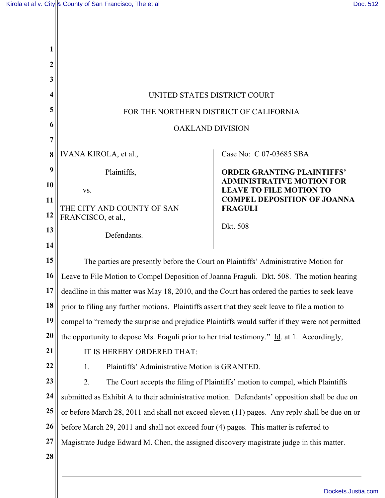$\mathbb{I}$ 

| 1                |                                                                                                            |                                                                    |  |
|------------------|------------------------------------------------------------------------------------------------------------|--------------------------------------------------------------------|--|
| $\boldsymbol{2}$ |                                                                                                            |                                                                    |  |
| 3                |                                                                                                            |                                                                    |  |
| 4                | UNITED STATES DISTRICT COURT                                                                               |                                                                    |  |
| 5                | FOR THE NORTHERN DISTRICT OF CALIFORNIA                                                                    |                                                                    |  |
| 6                | <b>OAKLAND DIVISION</b>                                                                                    |                                                                    |  |
| $\overline{7}$   |                                                                                                            |                                                                    |  |
| 8                | IVANA KIROLA, et al.,                                                                                      | Case No: C 07-03685 SBA                                            |  |
| 9                | Plaintiffs,                                                                                                | <b>ORDER GRANTING PLAINTIFFS'</b>                                  |  |
| 10               | VS.                                                                                                        | <b>ADMINISTRATIVE MOTION FOR</b><br><b>LEAVE TO FILE MOTION TO</b> |  |
| 11               | THE CITY AND COUNTY OF SAN                                                                                 | <b>COMPEL DEPOSITION OF JOANNA</b><br><b>FRAGULI</b>               |  |
| 12               | FRANCISCO, et al.,                                                                                         |                                                                    |  |
| 13               | Defendants.                                                                                                | Dkt. 508                                                           |  |
| 14               |                                                                                                            |                                                                    |  |
| 15               | The parties are presently before the Court on Plaintiffs' Administrative Motion for                        |                                                                    |  |
| 16               | Leave to File Motion to Compel Deposition of Joanna Fraguli. Dkt. 508. The motion hearing                  |                                                                    |  |
| 17               | deadline in this matter was May 18, 2010, and the Court has ordered the parties to seek leave              |                                                                    |  |
| 18               | prior to filing any further motions. Plaintiffs assert that they seek leave to file a motion to            |                                                                    |  |
| 19               | compel to "remedy the surprise and prejudice Plaintiffs would suffer if they were not permitted            |                                                                    |  |
| 20               | the opportunity to depose Ms. Fraguli prior to her trial testimony." $\underline{Id}$ . at 1. Accordingly, |                                                                    |  |
| 21               | IT IS HEREBY ORDERED THAT:                                                                                 |                                                                    |  |
| 22               | Plaintiffs' Administrative Motion is GRANTED.<br>1.                                                        |                                                                    |  |
| 23               | 2.<br>The Court accepts the filing of Plaintiffs' motion to compel, which Plaintiffs                       |                                                                    |  |
| 24               | submitted as Exhibit A to their administrative motion. Defendants' opposition shall be due on              |                                                                    |  |
| 25               | or before March 28, 2011 and shall not exceed eleven (11) pages. Any reply shall be due on or              |                                                                    |  |
| 26               | before March 29, 2011 and shall not exceed four (4) pages. This matter is referred to                      |                                                                    |  |
| 27               | Magistrate Judge Edward M. Chen, the assigned discovery magistrate judge in this matter.                   |                                                                    |  |
| 28               |                                                                                                            |                                                                    |  |
|                  |                                                                                                            |                                                                    |  |